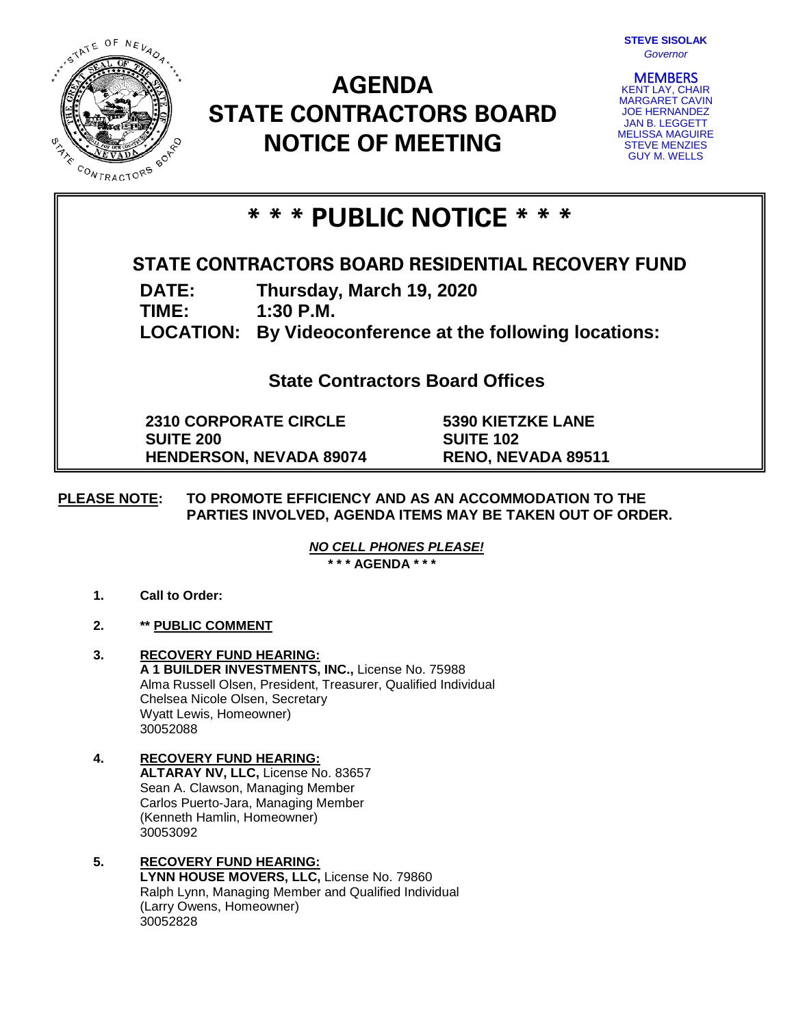

# **AGENDA STATE CONTRACTORS BOARD NOTICE OF MEETING**



**MEMBERS**<br>KENT LAY, CHAIR MARGARET CAVIN JOE HERNANDEZ JAN B. LEGGETT MELISSA MAGUIRE STEVE MENZIES GUY M. WELLS

## **\* \* \* PUBLIC NOTICE \* \* \***

## **STATE CONTRACTORS BOARD RESIDENTIAL RECOVERY FUND**

**DATE: Thursday, March 19, 2020**

**TIME: 1:30 P.M.**

**LOCATION: By Videoconference at the following locations:**

**State Contractors Board Offices**

**2310 CORPORATE CIRCLE SUITE 200 HENDERSON, NEVADA 89074** **5390 KIETZKE LANE SUITE 102 RENO, NEVADA 89511**

### **PLEASE NOTE: TO PROMOTE EFFICIENCY AND AS AN ACCOMMODATION TO THE PARTIES INVOLVED, AGENDA ITEMS MAY BE TAKEN OUT OF ORDER.**

*NO CELL PHONES PLEASE!* 

**\* \* \* AGENDA \* \* \***

- **1. Call to Order:**
- **2. \*\* PUBLIC COMMENT**
- **3. RECOVERY FUND HEARING: A 1 BUILDER INVESTMENTS, INC.,** License No. 75988 Alma Russell Olsen, President, Treasurer, Qualified Individual Chelsea Nicole Olsen, Secretary Wyatt Lewis, Homeowner) 30052088
- **4. RECOVERY FUND HEARING: ALTARAY NV, LLC,** License No. 83657 Sean A. Clawson, Managing Member Carlos Puerto-Jara, Managing Member (Kenneth Hamlin, Homeowner) 30053092

#### **5. RECOVERY FUND HEARING: LYNN HOUSE MOVERS, LLC,** License No. 79860 Ralph Lynn, Managing Member and Qualified Individual (Larry Owens, Homeowner) 30052828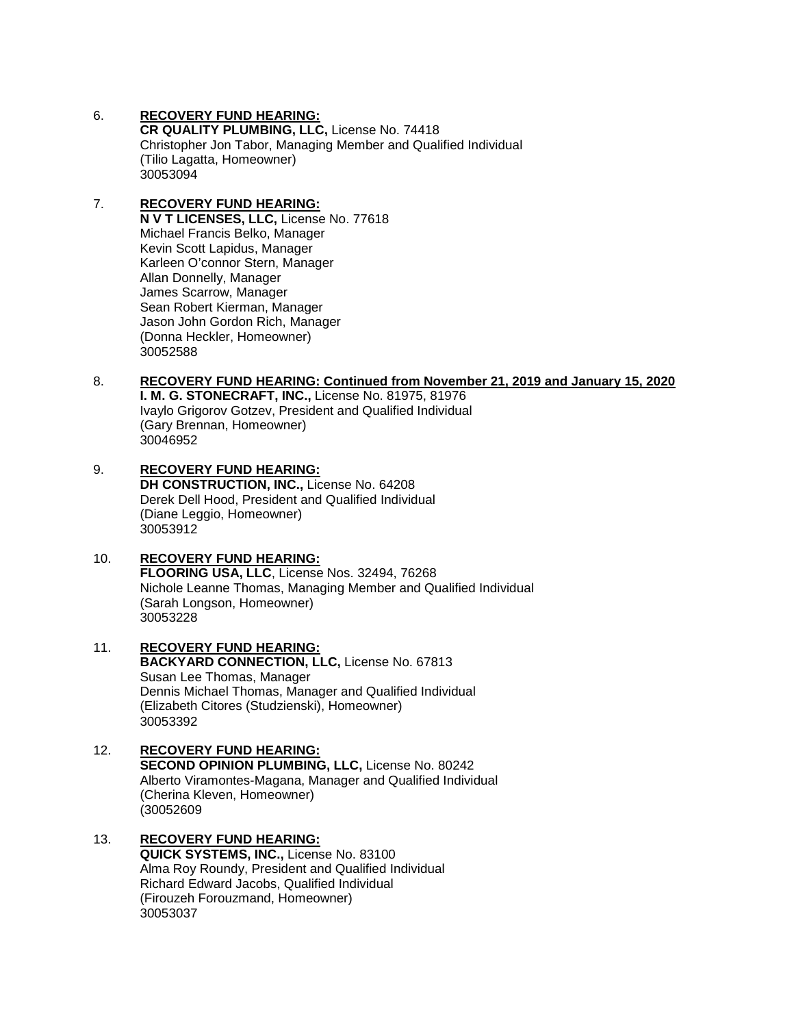#### 6. **RECOVERY FUND HEARING:**

**CR QUALITY PLUMBING, LLC,** License No. 74418 Christopher Jon Tabor, Managing Member and Qualified Individual (Tilio Lagatta, Homeowner) 30053094

#### 7. **RECOVERY FUND HEARING: N V T LICENSES, LLC,** License No. 77618 Michael Francis Belko, Manager Kevin Scott Lapidus, Manager Karleen O'connor Stern, Manager Allan Donnelly, Manager James Scarrow, Manager Sean Robert Kierman, Manager Jason John Gordon Rich, Manager (Donna Heckler, Homeowner) 30052588

#### 8. **RECOVERY FUND HEARING: Continued from November 21, 2019 and January 15, 2020**

**I. M. G. STONECRAFT, INC.,** License No. 81975, 81976 Ivaylo Grigorov Gotzev, President and Qualified Individual (Gary Brennan, Homeowner) 30046952

## 9. **RECOVERY FUND HEARING:**

**DH CONSTRUCTION, INC.,** License No. 64208 Derek Dell Hood, President and Qualified Individual (Diane Leggio, Homeowner) 30053912

#### 10. **RECOVERY FUND HEARING:**

**FLOORING USA, LLC**, License Nos. 32494, 76268 Nichole Leanne Thomas, Managing Member and Qualified Individual (Sarah Longson, Homeowner) 30053228

#### 11. **RECOVERY FUND HEARING: BACKYARD CONNECTION, LLC,** License No. 67813 Susan Lee Thomas, Manager Dennis Michael Thomas, Manager and Qualified Individual (Elizabeth Citores (Studzienski), Homeowner) 30053392

#### 12. **RECOVERY FUND HEARING: SECOND OPINION PLUMBING, LLC,** License No. 80242 Alberto Viramontes-Magana, Manager and Qualified Individual (Cherina Kleven, Homeowner) (30052609

## 13. **RECOVERY FUND HEARING:**

**QUICK SYSTEMS, INC.,** License No. 83100 Alma Roy Roundy, President and Qualified Individual Richard Edward Jacobs, Qualified Individual (Firouzeh Forouzmand, Homeowner) 30053037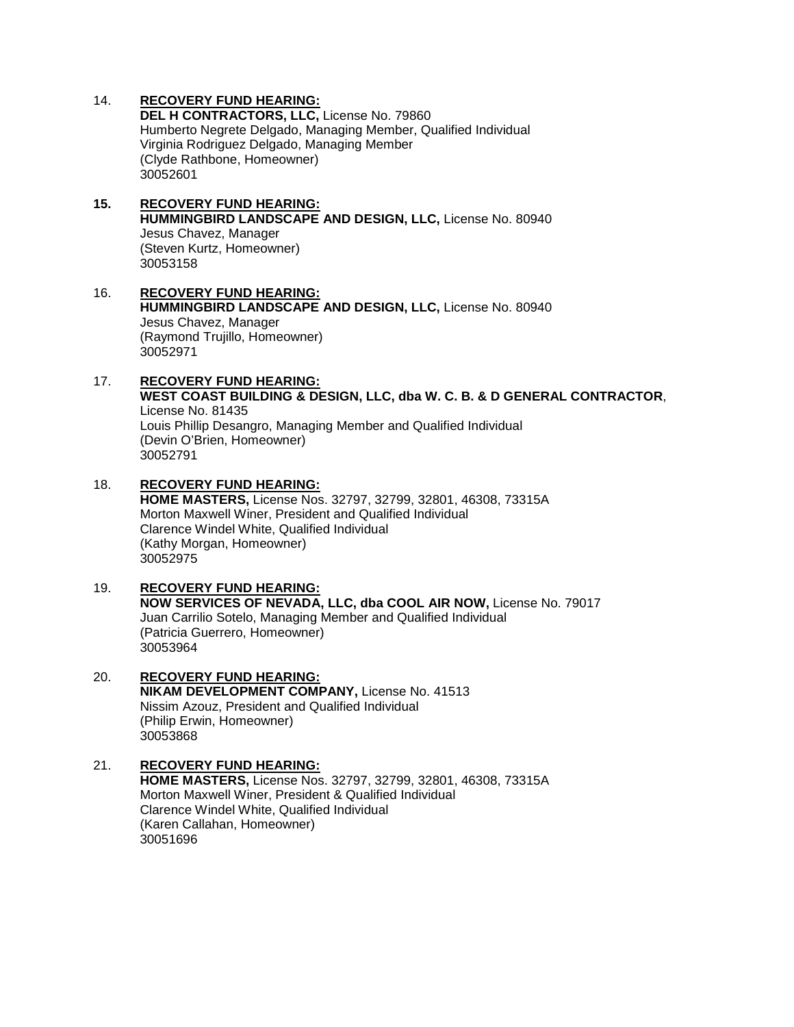#### 14. **RECOVERY FUND HEARING:**

**DEL H CONTRACTORS, LLC,** License No. 79860 Humberto Negrete Delgado, Managing Member, Qualified Individual Virginia Rodriguez Delgado, Managing Member (Clyde Rathbone, Homeowner) 30052601

#### **15. RECOVERY FUND HEARING: HUMMINGBIRD LANDSCAPE AND DESIGN, LLC,** License No. 80940 Jesus Chavez, Manager (Steven Kurtz, Homeowner) 30053158

#### 16. **RECOVERY FUND HEARING: HUMMINGBIRD LANDSCAPE AND DESIGN, LLC,** License No. 80940 Jesus Chavez, Manager (Raymond Trujillo, Homeowner) 30052971

#### 17. **RECOVERY FUND HEARING: WEST COAST BUILDING & DESIGN, LLC, dba W. C. B. & D GENERAL CONTRACTOR**, License No. 81435 Louis Phillip Desangro, Managing Member and Qualified Individual (Devin O'Brien, Homeowner) 30052791

#### 18. **RECOVERY FUND HEARING: HOME MASTERS,** License Nos. 32797, 32799, 32801, 46308, 73315A Morton Maxwell Winer, President and Qualified Individual Clarence Windel White, Qualified Individual (Kathy Morgan, Homeowner)

## 30052975 19. **RECOVERY FUND HEARING: NOW SERVICES OF NEVADA, LLC, dba COOL AIR NOW,** License No. 79017 Juan Carrilio Sotelo, Managing Member and Qualified Individual (Patricia Guerrero, Homeowner) 30053964

#### 20. **RECOVERY FUND HEARING: NIKAM DEVELOPMENT COMPANY,** License No. 41513 Nissim Azouz, President and Qualified Individual (Philip Erwin, Homeowner) 30053868

#### 21. **RECOVERY FUND HEARING: HOME MASTERS,** License Nos. 32797, 32799, 32801, 46308, 73315A Morton Maxwell Winer, President & Qualified Individual Clarence Windel White, Qualified Individual (Karen Callahan, Homeowner) 30051696